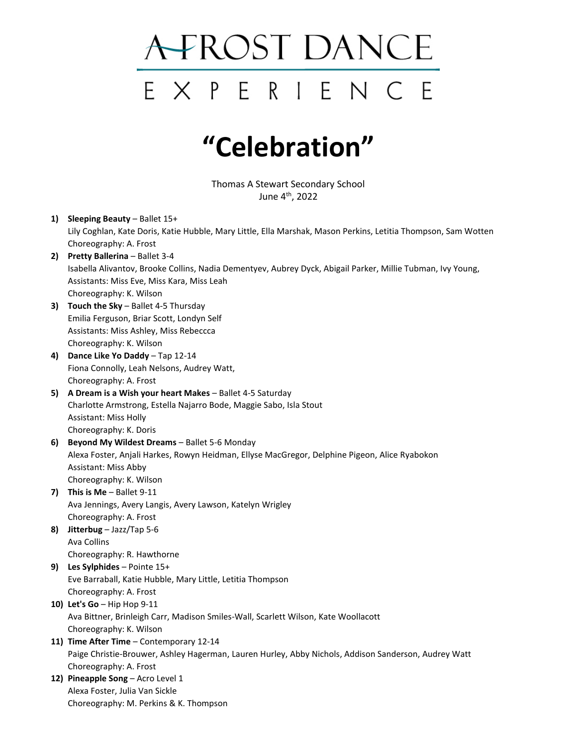## A-FROST DANCE EXPERIENCE

## **"Celebration"**

Thomas A Stewart Secondary School June  $4^{th}$ , 2022

- **1) Sleeping Beauty**  Ballet 15+ Lily Coghlan, Kate Doris, Katie Hubble, Mary Little, Ella Marshak, Mason Perkins, Letitia Thompson, Sam Wotten Choreography: A. Frost
- **2) Pretty Ballerina**  Ballet 3-4 Isabella Alivantov, Brooke Collins, Nadia Dementyev, Aubrey Dyck, Abigail Parker, Millie Tubman, Ivy Young, Assistants: Miss Eve, Miss Kara, Miss Leah Choreography: K. Wilson
- **3) Touch the Sky** Ballet 4-5 Thursday Emilia Ferguson, Briar Scott, Londyn Self Assistants: Miss Ashley, Miss Rebeccca Choreography: K. Wilson
- **4) Dance Like Yo Daddy**  Tap 12-14 Fiona Connolly, Leah Nelsons, Audrey Watt, Choreography: A. Frost
- **5) A Dream is a Wish your heart Makes** Ballet 4-5 Saturday Charlotte Armstrong, Estella Najarro Bode, Maggie Sabo, Isla Stout Assistant: Miss Holly Choreography: K. Doris
- **6) Beyond My Wildest Dreams** Ballet 5-6 Monday Alexa Foster, Anjali Harkes, Rowyn Heidman, Ellyse MacGregor, Delphine Pigeon, Alice Ryabokon Assistant: Miss Abby Choreography: K. Wilson
- **7) This is Me** Ballet 9-11 Ava Jennings, Avery Langis, Avery Lawson, Katelyn Wrigley Choreography: A. Frost
- **8) Jitterbug** Jazz/Tap 5-6 Ava Collins Choreography: R. Hawthorne
- **9) Les Sylphides** Pointe 15+ Eve Barraball, Katie Hubble, Mary Little, Letitia Thompson Choreography: A. Frost
- **10) Let's Go** Hip Hop 9-11 Ava Bittner, Brinleigh Carr, Madison Smiles-Wall, Scarlett Wilson, Kate Woollacott Choreography: K. Wilson
- **11) Time After Time** Contemporary 12-14 Paige Christie-Brouwer, Ashley Hagerman, Lauren Hurley, Abby Nichols, Addison Sanderson, Audrey Watt Choreography: A. Frost
- **12) Pineapple Song** Acro Level 1 Alexa Foster, Julia Van Sickle Choreography: M. Perkins & K. Thompson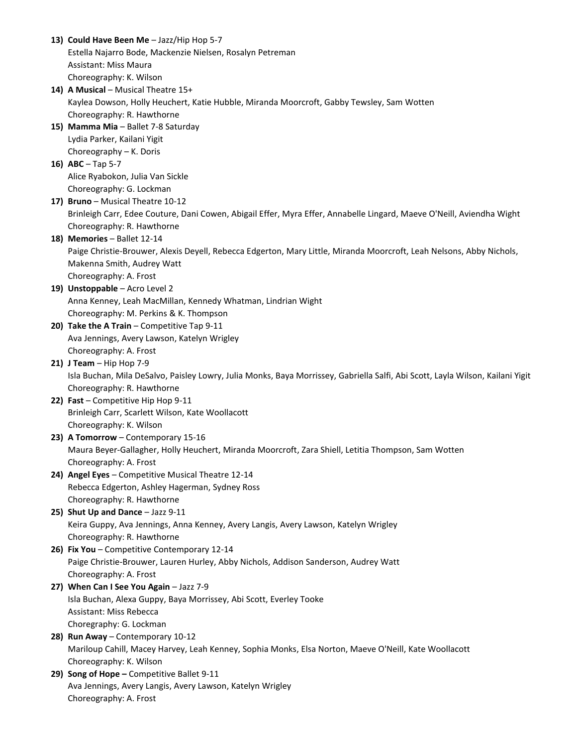**13) Could Have Been Me** – Jazz/Hip Hop 5-7 Estella Najarro Bode, Mackenzie Nielsen, Rosalyn Petreman Assistant: Miss Maura Choreography: K. Wilson **14) A Musical** – Musical Theatre 15+ Kaylea Dowson, Holly Heuchert, Katie Hubble, Miranda Moorcroft, Gabby Tewsley, Sam Wotten Choreography: R. Hawthorne **15) Mamma Mia** – Ballet 7-8 Saturday Lydia Parker, Kailani Yigit Choreography – K. Doris **16) ABC** – Tap 5-7 Alice Ryabokon, Julia Van Sickle Choreography: G. Lockman **17) Bruno** – Musical Theatre 10-12 Brinleigh Carr, Edee Couture, Dani Cowen, Abigail Effer, Myra Effer, Annabelle Lingard, Maeve O'Neill, Aviendha Wight Choreography: R. Hawthorne **18) Memories** – Ballet 12-14 Paige Christie-Brouwer, Alexis Deyell, Rebecca Edgerton, Mary Little, Miranda Moorcroft, Leah Nelsons, Abby Nichols, Makenna Smith, Audrey Watt Choreography: A. Frost **19) Unstoppable** – Acro Level 2 Anna Kenney, Leah MacMillan, Kennedy Whatman, Lindrian Wight Choreography: M. Perkins & K. Thompson **20) Take the A Train** – Competitive Tap 9-11 Ava Jennings, Avery Lawson, Katelyn Wrigley Choreography: A. Frost **21) J Team** – Hip Hop 7-9 Isla Buchan, Mila DeSalvo, Paisley Lowry, Julia Monks, Baya Morrissey, Gabriella Salfi, Abi Scott, Layla Wilson, Kailani Yigit Choreography: R. Hawthorne **22) Fast** – Competitive Hip Hop 9-11 Brinleigh Carr, Scarlett Wilson, Kate Woollacott Choreography: K. Wilson **23) A Tomorrow** – Contemporary 15-16 Maura Beyer-Gallagher, Holly Heuchert, Miranda Moorcroft, Zara Shiell, Letitia Thompson, Sam Wotten Choreography: A. Frost **24) Angel Eyes** – Competitive Musical Theatre 12-14 Rebecca Edgerton, Ashley Hagerman, Sydney Ross Choreography: R. Hawthorne **25) Shut Up and Dance** – Jazz 9-11 Keira Guppy, Ava Jennings, Anna Kenney, Avery Langis, Avery Lawson, Katelyn Wrigley Choreography: R. Hawthorne **26) Fix You** – Competitive Contemporary 12-14 Paige Christie-Brouwer, Lauren Hurley, Abby Nichols, Addison Sanderson, Audrey Watt Choreography: A. Frost **27) When Can I See You Again** – Jazz 7-9 Isla Buchan, Alexa Guppy, Baya Morrissey, Abi Scott, Everley Tooke Assistant: Miss Rebecca Choregraphy: G. Lockman **28) Run Away** – Contemporary 10-12 Mariloup Cahill, Macey Harvey, Leah Kenney, Sophia Monks, Elsa Norton, Maeve O'Neill, Kate Woollacott Choreography: K. Wilson **29) Song of Hope –** Competitive Ballet 9-11 Ava Jennings, Avery Langis, Avery Lawson, Katelyn Wrigley Choreography: A. Frost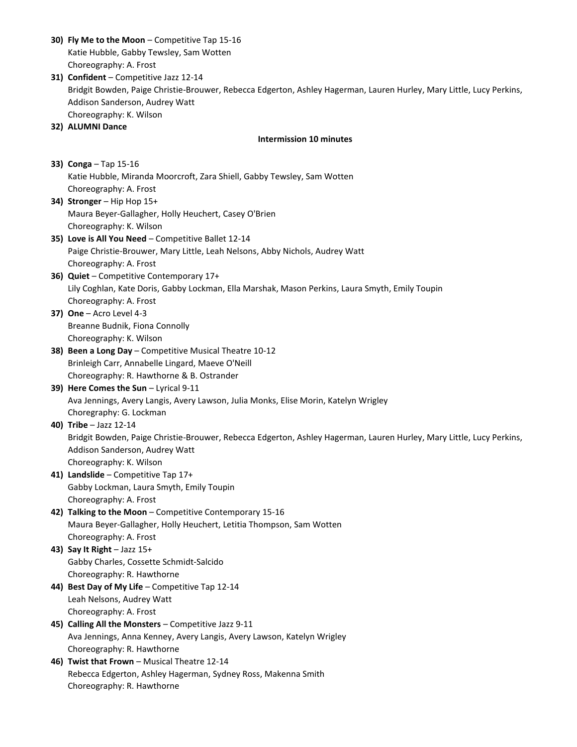- **30) Fly Me to the Moon** Competitive Tap 15-16 Katie Hubble, Gabby Tewsley, Sam Wotten Choreography: A. Frost
- **31) Confident** Competitive Jazz 12-14 Bridgit Bowden, Paige Christie-Brouwer, Rebecca Edgerton, Ashley Hagerman, Lauren Hurley, Mary Little, Lucy Perkins, Addison Sanderson, Audrey Watt Choreography: K. Wilson
- **32) ALUMNI Dance**

## **Intermission 10 minutes**

**33) Conga** – Tap 15-16 Katie Hubble, Miranda Moorcroft, Zara Shiell, Gabby Tewsley, Sam Wotten Choreography: A. Frost

- **34) Stronger** Hip Hop 15+ Maura Beyer-Gallagher, Holly Heuchert, Casey O'Brien Choreography: K. Wilson
- **35) Love is All You Need** Competitive Ballet 12-14 Paige Christie-Brouwer, Mary Little, Leah Nelsons, Abby Nichols, Audrey Watt Choreography: A. Frost
- **36) Quiet** Competitive Contemporary 17+ Lily Coghlan, Kate Doris, Gabby Lockman, Ella Marshak, Mason Perkins, Laura Smyth, Emily Toupin Choreography: A. Frost
- **37) One** Acro Level 4-3 Breanne Budnik, Fiona Connolly Choreography: K. Wilson
- **38) Been a Long Day** Competitive Musical Theatre 10-12 Brinleigh Carr, Annabelle Lingard, Maeve O'Neill Choreography: R. Hawthorne & B. Ostrander
- **39) Here Comes the Sun** Lyrical 9-11 Ava Jennings, Avery Langis, Avery Lawson, Julia Monks, Elise Morin, Katelyn Wrigley Choregraphy: G. Lockman

## **40) Tribe** – Jazz 12-14

Bridgit Bowden, Paige Christie-Brouwer, Rebecca Edgerton, Ashley Hagerman, Lauren Hurley, Mary Little, Lucy Perkins, Addison Sanderson, Audrey Watt Choreography: K. Wilson

- **41) Landslide** Competitive Tap 17+ Gabby Lockman, Laura Smyth, Emily Toupin Choreography: A. Frost
- **42) Talking to the Moon** Competitive Contemporary 15-16 Maura Beyer-Gallagher, Holly Heuchert, Letitia Thompson, Sam Wotten Choreography: A. Frost
- **43) Say It Right** Jazz 15+ Gabby Charles, Cossette Schmidt-Salcido Choreography: R. Hawthorne
- **44) Best Day of My Life** Competitive Tap 12-14 Leah Nelsons, Audrey Watt Choreography: A. Frost
- **45) Calling All the Monsters** Competitive Jazz 9-11 Ava Jennings, Anna Kenney, Avery Langis, Avery Lawson, Katelyn Wrigley Choreography: R. Hawthorne
- **46) Twist that Frown** Musical Theatre 12-14 Rebecca Edgerton, Ashley Hagerman, Sydney Ross, Makenna Smith Choreography: R. Hawthorne